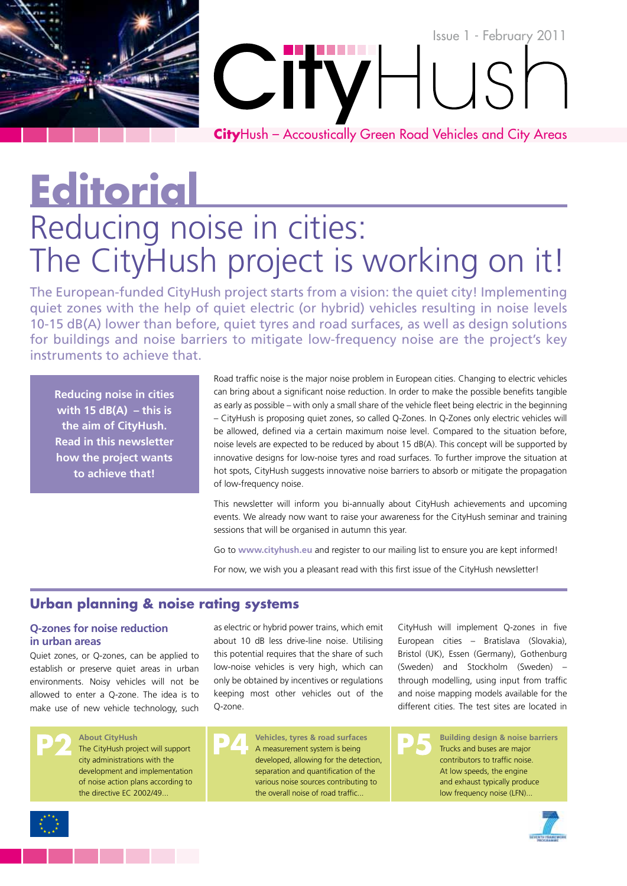# Issue 1 - February 2011  $\overline{\phantom{a}}$ **City**Hush – Accoustically Green Road Vehicles and City Areas

**Editorial**

## Reducing noise in cities: The CityHush project is working on it!

The European-funded CityHush project starts from a vision: the quiet city! Implementing quiet zones with the help of quiet electric (or hybrid) vehicles resulting in noise levels 10-15 dB(A) lower than before, quiet tyres and road surfaces, as well as design solutions for buildings and noise barriers to mitigate low-frequency noise are the project's key instruments to achieve that.

**Reducing noise in cities with 15 dB(A) – this is the aim of CityHush. Read in this newsletter how the project wants to achieve that!**

Road traffic noise is the major noise problem in European cities. Changing to electric vehicles can bring about a significant noise reduction. In order to make the possible benefits tangible as early as possible – with only a small share of the vehicle fleet being electric in the beginning – CityHush is proposing quiet zones, so called Q-Zones. In Q-Zones only electric vehicles will be allowed, defined via a certain maximum noise level. Compared to the situation before, noise levels are expected to be reduced by about 15 dB(A). This concept will be supported by innovative designs for low-noise tyres and road surfaces. To further improve the situation at hot spots, CityHush suggests innovative noise barriers to absorb or mitigate the propagation of low-frequency noise.

This newsletter will inform you bi-annually about CityHush achievements and upcoming events. We already now want to raise your awareness for the CityHush seminar and training sessions that will be organised in autumn this year.

Go to **www.cityhush.eu** and register to our mailing list to ensure you are kept informed!

For now, we wish you a pleasant read with this first issue of the CityHush newsletter!

## **Urban planning & noise rating systems**

#### **Q-zones for noise reduction in urban areas**

Quiet zones, or Q-zones, can be applied to establish or preserve quiet areas in urban environments. Noisy vehicles will not be allowed to enter a Q-zone. The idea is to make use of new vehicle technology, such

**About CityHush**

The CityHush project will support city administrations with the development and implementation of noise action plans according to the directive EC 2002/49...

as electric or hybrid power trains, which emit about 10 dB less drive-line noise. Utilising this potential requires that the share of such low-noise vehicles is very high, which can only be obtained by incentives or regulations keeping most other vehicles out of the Q-zone.

CityHush will implement Q-zones in five European cities – Bratislava (Slovakia), Bristol (UK), Essen (Germany), Gothenburg (Sweden) and Stockholm (Sweden) – through modelling, using input from traffic and noise mapping models available for the different cities. The test sites are located in



**Vehicles, tyres & road surfaces** A measurement system is being developed, allowing for the detection, separation and quantification of the various noise sources contributing to the overall noise of road traffic...

**Building design & noise barriers** Trucks and buses are major contributors to traffic noise. At low speeds, the engine and exhaust typically produce low frequency noise (LFN)...



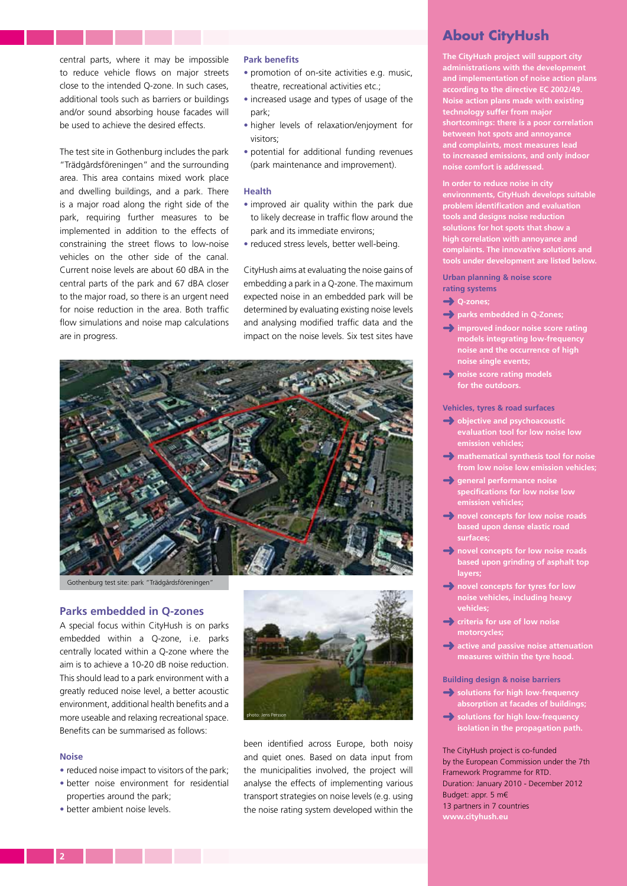central parts, where it may be impossible to reduce vehicle flows on major streets close to the intended Q-zone. In such cases, additional tools such as barriers or buildings and/or sound absorbing house facades will be used to achieve the desired effects.

The test site in Gothenburg includes the park "Trädgårdsföreningen" and the surrounding area. This area contains mixed work place and dwelling buildings, and a park. There is a major road along the right side of the park, requiring further measures to be implemented in addition to the effects of constraining the street flows to low-noise vehicles on the other side of the canal. Current noise levels are about 60 dBA in the central parts of the park and 67 dBA closer to the major road, so there is an urgent need for noise reduction in the area. Both traffic flow simulations and noise map calculations are in progress.

#### **Park benefits**

- promotion of on-site activities e.g. music, theatre, recreational activities etc.;
- increased usage and types of usage of the park;
- higher levels of relaxation/enjoyment for visitors;
- potential for additional funding revenues (park maintenance and improvement).

#### **Health**

- improved air quality within the park due to likely decrease in traffic flow around the park and its immediate environs;
- reduced stress levels, better well-being.

CityHush aims at evaluating the noise gains of embedding a park in a Q-zone. The maximum expected noise in an embedded park will be determined by evaluating existing noise levels and analysing modified traffic data and the impact on the noise levels. Six test sites have



Gothenburg test site: park "Trädgårdsföreningen"

#### **Parks embedded in Q-zones**

A special focus within CityHush is on parks embedded within a Q-zone, i.e. parks centrally located within a Q-zone where the aim is to achieve a 10-20 dB noise reduction. This should lead to a park environment with a greatly reduced noise level, a better acoustic environment, additional health benefits and a more useable and relaxing recreational space. Benefits can be summarised as follows:

#### **Noise**

- reduced noise impact to visitors of the park;
- better noise environment for residential properties around the park;
- better ambient noise levels.



been identified across Europe, both noisy and quiet ones. Based on data input from the municipalities involved, the project will analyse the effects of implementing various transport strategies on noise levels (e.g. using the noise rating system developed within the

### **About CityHush**

**The CityHush project will support city administrations with the development and implementation of noise action plans according to the directive EC 2002/49. Noise action plans made with existing technology suffer from major shortcomings: there is a poor correlation between hot spots and annoyance and complaints, most measures lead to increased emissions, and only indoor noise comfort is addressed.**

**In order to reduce noise in city environments, CityHush develops suitable problem identification and evaluation tools and designs noise reduction solutions for hot spots that show a high correlation with annoyance and complaints. The innovative solutions and tools under development are listed below.**

**Urban planning & noise score rating systems**

- ➜ **Q-zones;**
- ➜ **parks embedded in Q-Zones;**
- ➜ **improved indoor noise score rating models integrating low-frequency noise and the occurrence of high noise single events;**
- ➜ **noise score rating models for the outdoors.**

#### **Vehicles, tyres & road surfaces**

- ➜ **objective and psychoacoustic evaluation tool for low noise low emission vehicles;**
- ➜ **mathematical synthesis tool for noise from low noise low emission vehicles;**
- ➜ **general performance noise specifications for low noise low emission vehicles;**
- ➜ **novel concepts for low noise roads based upon dense elastic road surfaces;**
- ➜ **novel concepts for low noise roads based upon grinding of asphalt top layers;**
- ➜ **novel concepts for tyres for low noise vehicles, including heavy vehicles;**
- ➜ **criteria for use of low noise motorcycles;**
- ➜ **active and passive noise attenuation measures within the tyre hood.**

**Building design & noise barriers**

- ➜ **solutions for high low-frequency absorption at facades of buildings;**
- ➜ **solutions for high low-frequency isolation in the propagation path.**

The CityHush project is co-funded by the European Commission under the 7th Framework Programme for RTD. Duration: January 2010 - December 2012 Budget: appr. 5 m€ 13 partners in 7 countries **www.cityhush.eu**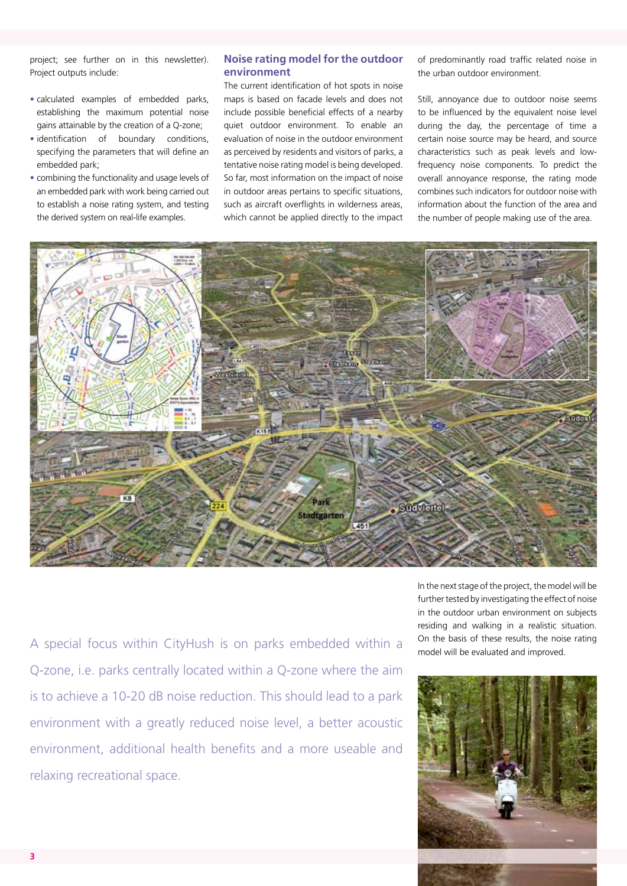project; see further on in this newsletter). Project outputs include:

- calculated examples of embedded parks, establishing the maximum potential noise gains attainable by the creation of a Q-zone;
- identification of boundary conditions, specifying the parameters that will define an embedded park;
- combining the functionality and usage levels of an embedded park with work being carried out to establish a noise rating system, and testing the derived system on real-life examples.

#### **Noise rating model for the outdoor environment**

The current identification of hot spots in noise maps is based on facade levels and does not include possible beneficial effects of a nearby quiet outdoor environment. To enable an evaluation of noise in the outdoor environment as perceived by residents and visitors of parks, a tentative noise rating model is being developed. So far, most information on the impact of noise in outdoor areas pertains to specific situations, such as aircraft overflights in wilderness areas, which cannot be applied directly to the impact of predominantly road traffic related noise in the urban outdoor environment.

Still, annoyance due to outdoor noise seems to be influenced by the equivalent noise level during the day, the percentage of time a certain noise source may be heard, and source characteristics such as peak levels and lowfrequency noise components. To predict the overall annoyance response, the rating mode combines such indicators for outdoor noise with information about the function of the area and the number of people making use of the area.



A special focus within CityHush is on parks embedded within a son the basis of these results, the nois<br>model will be evaluated and improved. Q-zone, i.e. parks centrally located within a Q-zone where the aim is to achieve a 10-20 dB noise reduction. This should lead to a park environment with a greatly reduced noise level, a better acoustic environment, additional health benefits and a more useable and relaxing recreational space.

In the next stage of the project, the model will be further tested by investigating the effect of noise in the outdoor urban environment on subjects residing and walking in a realistic situation. On the basis of these results, the noise rating

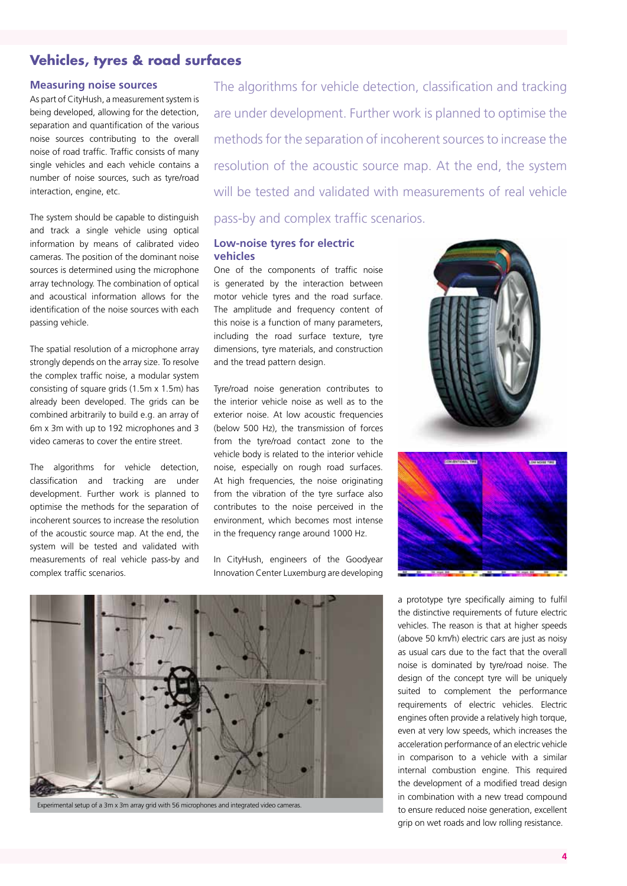## **Vehicles, tyres & road surfaces**

#### **Measuring noise sources**

As part of CityHush, a measurement system is being developed, allowing for the detection, separation and quantification of the various noise sources contributing to the overall noise of road traffic. Traffic consists of many single vehicles and each vehicle contains a number of noise sources, such as tyre/road interaction, engine, etc.

The system should be capable to distinguish and track a single vehicle using optical information by means of calibrated video cameras. The position of the dominant noise sources is determined using the microphone array technology. The combination of optical and acoustical information allows for the identification of the noise sources with each passing vehicle.

The spatial resolution of a microphone array strongly depends on the array size. To resolve the complex traffic noise, a modular system consisting of square grids (1.5m x 1.5m) has already been developed. The grids can be combined arbitrarily to build e.g. an array of 6m x 3m with up to 192 microphones and 3 video cameras to cover the entire street.

The algorithms for vehicle detection, classification and tracking are under development. Further work is planned to optimise the methods for the separation of incoherent sources to increase the resolution of the acoustic source map. At the end, the system will be tested and validated with measurements of real vehicle pass-by and complex traffic scenarios.

The algorithms for vehicle detection, classification and tracking are under development. Further work is planned to optimise the methods for the separation of incoherent sources to increase the resolution of the acoustic source map. At the end, the system will be tested and validated with measurements of real vehicle pass-by and complex traffic scenarios.

#### **Low-noise tyres for electric vehicles**

One of the components of traffic noise is generated by the interaction between motor vehicle tyres and the road surface. The amplitude and frequency content of this noise is a function of many parameters, including the road surface texture, tyre dimensions, tyre materials, and construction and the tread pattern design.

Tyre/road noise generation contributes to the interior vehicle noise as well as to the exterior noise. At low acoustic frequencies (below 500 Hz), the transmission of forces from the tyre/road contact zone to the vehicle body is related to the interior vehicle noise, especially on rough road surfaces. At high frequencies, the noise originating from the vibration of the tyre surface also contributes to the noise perceived in the environment, which becomes most intense in the frequency range around 1000 Hz.

In CityHush, engineers of the Goodyear Innovation Center Luxemburg are developing







Experimental setup of a 3m x 3m array grid with 56 microphones and integrated video cameras.

a prototype tyre specifically aiming to fulfil the distinctive requirements of future electric vehicles. The reason is that at higher speeds (above 50 km/h) electric cars are just as noisy as usual cars due to the fact that the overall noise is dominated by tyre/road noise. The design of the concept tyre will be uniquely suited to complement the performance requirements of electric vehicles. Electric engines often provide a relatively high torque, even at very low speeds, which increases the acceleration performance of an electric vehicle in comparison to a vehicle with a similar internal combustion engine. This required the development of a modified tread design in combination with a new tread compound to ensure reduced noise generation, excellent grip on wet roads and low rolling resistance.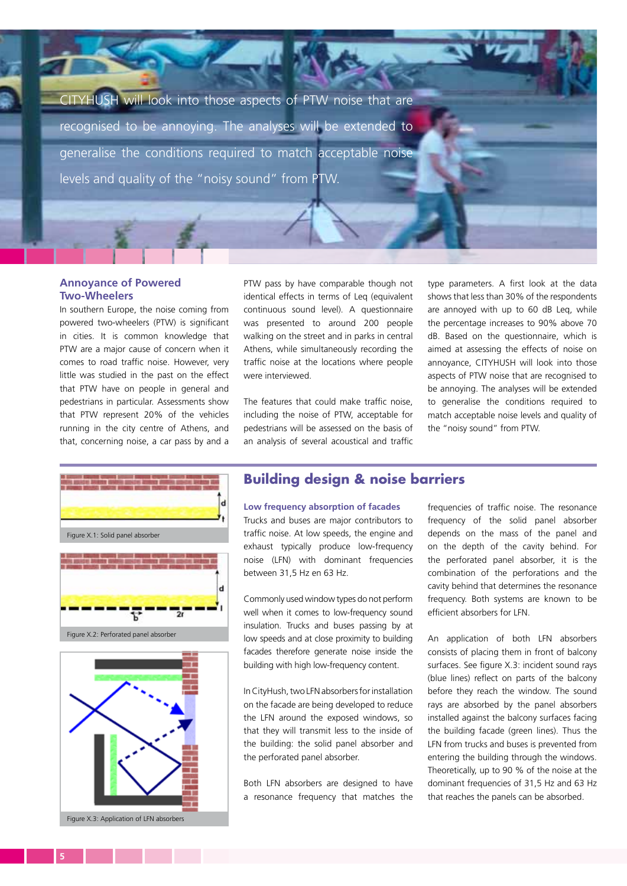CITYHUSH will look into those aspects of PTW noise that are recognised to be annoying. The analyses will be extended to generalise the conditions required to match acceptable noise levels and quality of the "noisy sound" from PTW.

#### **Annoyance of Powered Two-Wheelers**

In southern Europe, the noise coming from powered two-wheelers (PTW) is significant in cities. It is common knowledge that PTW are a major cause of concern when it comes to road traffic noise. However, very little was studied in the past on the effect that PTW have on people in general and pedestrians in particular. Assessments show that PTW represent 20% of the vehicles running in the city centre of Athens, and that, concerning noise, a car pass by and a

PTW pass by have comparable though not identical effects in terms of Leq (equivalent continuous sound level). A questionnaire was presented to around 200 people walking on the street and in parks in central Athens, while simultaneously recording the traffic noise at the locations where people were interviewed.

The features that could make traffic noise, including the noise of PTW, acceptable for pedestrians will be assessed on the basis of an analysis of several acoustical and traffic

type parameters. A first look at the data shows that less than 30% of the respondents are annoyed with up to 60 dB Leq, while the percentage increases to 90% above 70 dB. Based on the questionnaire, which is aimed at assessing the effects of noise on annoyance, CITYHUSH will look into those aspects of PTW noise that are recognised to be annoying. The analyses will be extended to generalise the conditions required to match acceptable noise levels and quality of the "noisy sound" from PTW.





### **Building design & noise barriers**

**Low frequency absorption of facades** Trucks and buses are major contributors to traffic noise. At low speeds, the engine and exhaust typically produce low-frequency noise (LFN) with dominant frequencies between 31,5 Hz en 63 Hz.

Commonly used window types do not perform well when it comes to low-frequency sound insulation. Trucks and buses passing by at low speeds and at close proximity to building facades therefore generate noise inside the building with high low-frequency content.

In CityHush, two LFN absorbers for installation on the facade are being developed to reduce the LFN around the exposed windows, so that they will transmit less to the inside of the building: the solid panel absorber and the perforated panel absorber.

Both LFN absorbers are designed to have a resonance frequency that matches the

frequencies of traffic noise. The resonance frequency of the solid panel absorber depends on the mass of the panel and on the depth of the cavity behind. For the perforated panel absorber, it is the combination of the perforations and the cavity behind that determines the resonance frequency. Both systems are known to be efficient absorbers for LFN.

An application of both LFN absorbers consists of placing them in front of balcony surfaces. See figure X.3: incident sound rays (blue lines) reflect on parts of the balcony before they reach the window. The sound rays are absorbed by the panel absorbers installed against the balcony surfaces facing the building facade (green lines). Thus the LFN from trucks and buses is prevented from entering the building through the windows. Theoretically, up to 90 % of the noise at the dominant frequencies of 31,5 Hz and 63 Hz that reaches the panels can be absorbed.